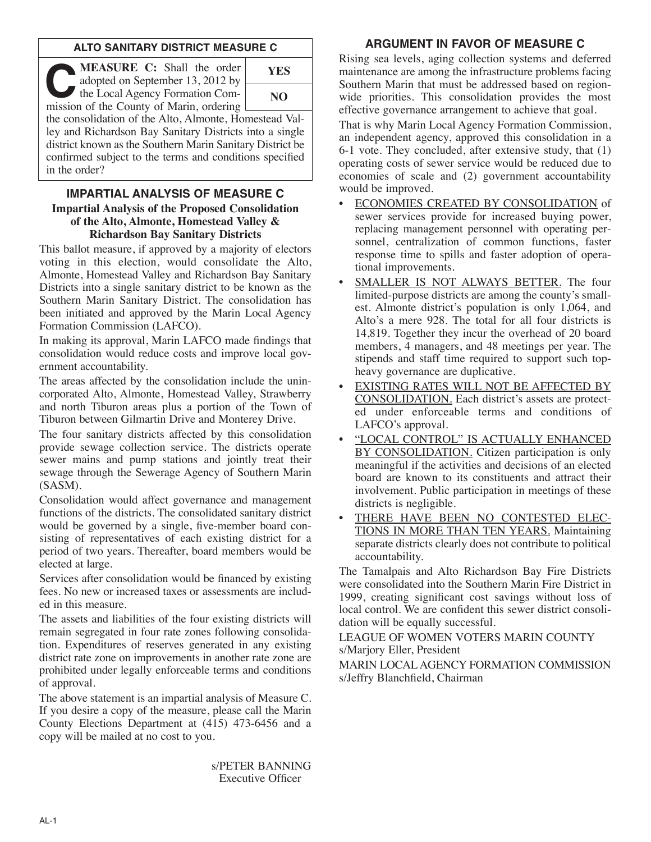## **ALTO SANITARY DISTRICT MEASURE C**

**CEASURE C:** Shall the order<br>
adopted on September 13, 2012 by<br>
the Local Agency Formation Com-<br>
mission of the County of Marin ordering adopted on September 13, 2012 by

**YES NO**

mission of the County of Marin, ordering the consolidation of the Alto, Almonte, Homestead Valley and Richardson Bay Sanitary Districts into a single district known as the Southern Marin Sanitary District be confirmed subject to the terms and conditions specified in the order?

## **IMPARTIAL ANALYSIS OF MEASURE C Impartial Analysis of the Proposed Consolidation of the Alto, Almonte, Homestead Valley & Richardson Bay Sanitary Districts**

This ballot measure, if approved by a majority of electors voting in this election, would consolidate the Alto, Almonte, Homestead Valley and Richardson Bay Sanitary Districts into a single sanitary district to be known as the Southern Marin Sanitary District. The consolidation has been initiated and approved by the Marin Local Agency Formation Commission (LAFCO).

In making its approval, Marin LAFCO made findings that consolidation would reduce costs and improve local government accountability.

The areas affected by the consolidation include the unincorporated Alto, Almonte, Homestead Valley, Strawberry and north Tiburon areas plus a portion of the Town of Tiburon between Gilmartin Drive and Monterey Drive.

The four sanitary districts affected by this consolidation provide sewage collection service. The districts operate sewer mains and pump stations and jointly treat their sewage through the Sewerage Agency of Southern Marin (SASM).

Consolidation would affect governance and management functions of the districts. The consolidated sanitary district would be governed by a single, five-member board consisting of representatives of each existing district for a period of two years. Thereafter, board members would be elected at large.

Services after consolidation would be financed by existing fees. No new or increased taxes or assessments are included in this measure.

The assets and liabilities of the four existing districts will remain segregated in four rate zones following consolidation. Expenditures of reserves generated in any existing district rate zone on improvements in another rate zone are prohibited under legally enforceable terms and conditions of approval.

The above statement is an impartial analysis of Measure C. If you desire a copy of the measure, please call the Marin County Elections Department at (415) 473-6456 and a copy will be mailed at no cost to you.

> s/PETER BANNING Executive Officer

# **ARGUMENT IN FAVOR OF MEASURE C**

Rising sea levels, aging collection systems and deferred maintenance are among the infrastructure problems facing Southern Marin that must be addressed based on regionwide priorities. This consolidation provides the most effective governance arrangement to achieve that goal.

That is why Marin Local Agency Formation Commission, an independent agency, approved this consolidation in a 6-1 vote. They concluded, after extensive study, that (1) operating costs of sewer service would be reduced due to economies of scale and (2) government accountability would be improved.

- ECONOMIES CREATED BY CONSOLIDATION of sewer services provide for increased buying power, replacing management personnel with operating personnel, centralization of common functions, faster response time to spills and faster adoption of operational improvements.
- SMALLER IS NOT ALWAYS BETTER. The four limited-purpose districts are among the county's smallest. Almonte district's population is only 1,064, and Alto's a mere 928. The total for all four districts is 14,819. Together they incur the overhead of 20 board members, 4 managers, and 48 meetings per year. The stipends and staff time required to support such topheavy governance are duplicative.
- EXISTING RATES WILL NOT BE AFFECTED BY CONSOLIDATION. Each district's assets are protected under enforceable terms and conditions of LAFCO's approval.
- "LOCAL CONTROL" IS ACTUALLY ENHANCED BY CONSOLIDATION. Citizen participation is only meaningful if the activities and decisions of an elected board are known to its constituents and attract their involvement. Public participation in meetings of these districts is negligible.
- THERE HAVE BEEN NO CONTESTED ELEC-TIONS IN MORE THAN TEN YEARS. Maintaining separate districts clearly does not contribute to political accountability.

The Tamalpais and Alto Richardson Bay Fire Districts were consolidated into the Southern Marin Fire District in 1999, creating significant cost savings without loss of local control. We are confident this sewer district consolidation will be equally successful.

LEAGUE OF WOMEN VOTERS MARIN COUNTY s/Marjory Eller, President

MARIN LOCALAGENCY FORMATION COMMISSION s/Jeffry Blanchfield, Chairman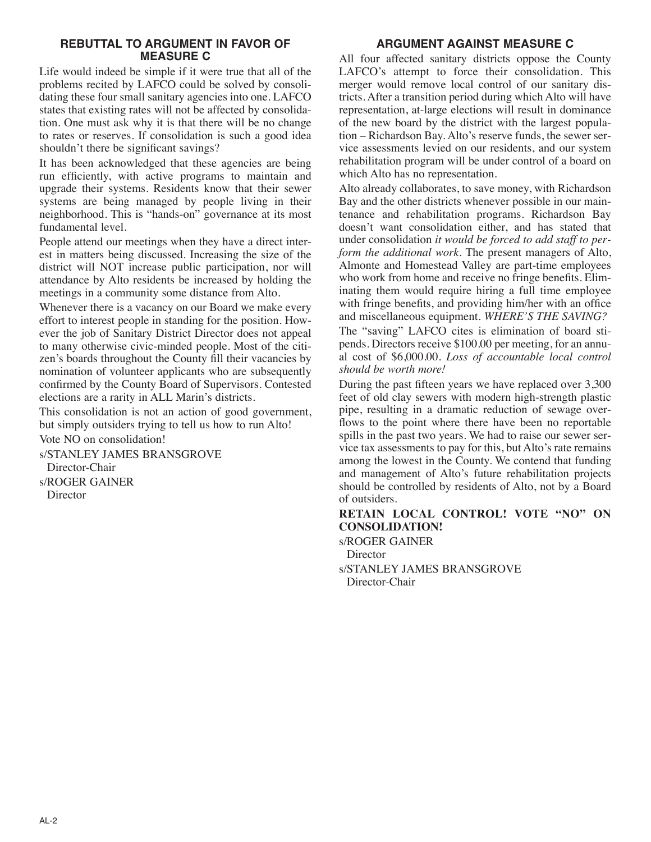### **REBUTTAL TO ARGUMENT IN FAVOR OF MEASURE C**

Life would indeed be simple if it were true that all of the problems recited by LAFCO could be solved by consolidating these four small sanitary agencies into one. LAFCO states that existing rates will not be affected by consolidation. One must ask why it is that there will be no change to rates or reserves. If consolidation is such a good idea shouldn't there be significant savings?

It has been acknowledged that these agencies are being run efficiently, with active programs to maintain and upgrade their systems. Residents know that their sewer systems are being managed by people living in their neighborhood. This is "hands-on" governance at its most fundamental level.

People attend our meetings when they have a direct interest in matters being discussed. Increasing the size of the district will NOT increase public participation, nor will attendance by Alto residents be increased by holding the meetings in a community some distance from Alto.

Whenever there is a vacancy on our Board we make every effort to interest people in standing for the position. However the job of Sanitary District Director does not appeal to many otherwise civic-minded people. Most of the citizen's boards throughout the County fill their vacancies by nomination of volunteer applicants who are subsequently confirmed by the County Board of Supervisors. Contested elections are a rarity in ALL Marin's districts.

This consolidation is not an action of good government, but simply outsiders trying to tell us how to run Alto!

Vote NO on consolidation!

s/STANLEY JAMES BRANSGROVE Director-Chair

s/ROGER GAINER Director

# **ARGUMENT AGAINST MEASURE C**

All four affected sanitary districts oppose the County LAFCO's attempt to force their consolidation. This merger would remove local control of our sanitary districts. After a transition period during which Alto will have representation, at-large elections will result in dominance of the new board by the district with the largest population – Richardson Bay. Alto's reserve funds, the sewer service assessments levied on our residents, and our system rehabilitation program will be under control of a board on which Alto has no representation.

Alto already collaborates, to save money, with Richardson Bay and the other districts whenever possible in our maintenance and rehabilitation programs. Richardson Bay doesn't want consolidation either, and has stated that under consolidation *it would be forced to add staff to perform the additional work*. The present managers of Alto, Almonte and Homestead Valley are part-time employees who work from home and receive no fringe benefits. Eliminating them would require hiring a full time employee with fringe benefits, and providing him/her with an office and miscellaneous equipment. *WHERE'S THE SAVING?*

The "saving" LAFCO cites is elimination of board stipends. Directors receive \$100.00 per meeting, for an annual cost of \$6,000.00. *Loss of accountable local control should be worth more!*

During the past fifteen years we have replaced over 3,300 feet of old clay sewers with modern high-strength plastic pipe, resulting in a dramatic reduction of sewage overflows to the point where there have been no reportable spills in the past two years. We had to raise our sewer service tax assessments to pay for this, but Alto's rate remains among the lowest in the County. We contend that funding and management of Alto's future rehabilitation projects should be controlled by residents of Alto, not by a Board of outsiders.

### **RETAIN LOCAL CONTROL! VOTE "NO" ON CONSOLIDATION!**

s/ROGER GAINER Director

s/STANLEY JAMES BRANSGROVE Director-Chair